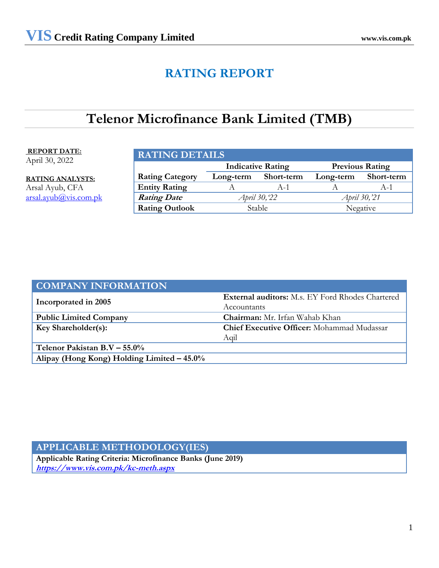# **RATING REPORT**

# **Telenor Microfinance Bank Limited (TMB)**

# **REPORT DATE:**

April 30, 2022

**RATING ANALYSTS:** Arsal Ayub, CFA arsal.ayu[b@vis.com.pk](mailto:amir@jcrvis.com.pk)

| <b>RATING DETAILS</b>                              |                                                           |       |  |       |  |  |
|----------------------------------------------------|-----------------------------------------------------------|-------|--|-------|--|--|
| <b>Indicative Rating</b><br><b>Previous Rating</b> |                                                           |       |  |       |  |  |
| <b>Rating Category</b>                             | Short-term<br><b>Short-term</b><br>Long-term<br>Long-term |       |  |       |  |  |
| <b>Entity Rating</b>                               |                                                           | $A-1$ |  | $A-1$ |  |  |
| <b>Rating Date</b>                                 | April 30, 22<br>April 30, 21                              |       |  |       |  |  |
| <b>Rating Outlook</b>                              | <b>Stable</b><br>Negative                                 |       |  |       |  |  |

| <b>COMPANY INFORMATION</b>                 |                                                         |
|--------------------------------------------|---------------------------------------------------------|
| Incorporated in 2005                       | <b>External auditors:</b> M.s. EY Ford Rhodes Chartered |
|                                            | Accountants                                             |
| <b>Public Limited Company</b>              | Chairman: Mr. Irfan Wahab Khan                          |
| Key Shareholder(s):                        | <b>Chief Executive Officer:</b> Mohammad Mudassar       |
|                                            | Aqil                                                    |
| Telenor Pakistan B.V $-$ 55.0%             |                                                         |
| Alipay (Hong Kong) Holding Limited - 45.0% |                                                         |

# **APPLICABLE METHODOLOGY(IES)**

**Applicable Rating Criteria: Microfinance Banks (June 2019) <https://www.vis.com.pk/kc-meth.aspx>**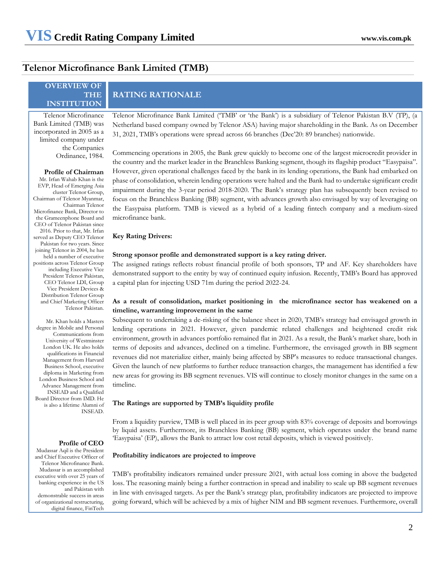# **Telenor Microfinance Bank Limited (TMB)**

**OVERVIEW OF** 

| <b>THE</b><br><b>INSTITUTION</b>                                                                                  | <b>RATING RATIONALE</b>                                                                                                                                                                                                                                                                                                                    |
|-------------------------------------------------------------------------------------------------------------------|--------------------------------------------------------------------------------------------------------------------------------------------------------------------------------------------------------------------------------------------------------------------------------------------------------------------------------------------|
| Telenor Microfinance<br>Bank Limited (TMB) was<br>incorporated in 2005 as a<br>limited company under              | Telenor Microfinance Bank Limited ('TMB' or 'the Bank') is a subsidiary of Telenor Pakistan B.V (TP), (a<br>Netherland based company owned by Telenor ASA) having major shareholding in the Bank. As on December<br>31, 2021, TMB's operations were spread across 66 branches (Dec'20: 89 branches) nationwide.                            |
| the Companies<br>Ordinance, 1984.                                                                                 | Commencing operations in 2005, the Bank grew quickly to become one of the largest microcredit provider in<br>the country and the market leader in the Branchless Banking segment, though its flagship product "Easypaisa".                                                                                                                 |
| <b>Profile of Chairman</b><br>Mr. Irfan Wahab Khan is the<br>EVP, Head of Emerging Asia<br>cluster Telenor Group, | However, given operational challenges faced by the bank in its lending operations, the Bank had embarked on<br>phase of consolidation, wherein lending operations were halted and the Bank had to undertake significant credit<br>impairment during the 3-year period 2018-2020. The Bank's strategy plan has subsequently been revised to |
| Chairman of Telenor Myanmar,<br>Chairman Telenor<br>Microfinance Bank, Director to<br>the Grameenphone Board and  | focus on the Branchless Banking (BB) segment, with advances growth also envisaged by way of leveraging on<br>the Easypaisa platform. TMB is viewed as a hybrid of a leading fintech company and a medium-sized<br>microfinance bank.                                                                                                       |
| CEO of Telenor Pakistan since<br>2016. Prior to that, Mr. Irfan<br>served as Deputy CEO Telenor                   | <b>Key Rating Drivers:</b>                                                                                                                                                                                                                                                                                                                 |

# **Strong sponsor profile and demonstrated support is a key rating driver.**

The assigned ratings reflects robust financial profile of both sponsors, TP and AF. Key shareholders have demonstrated support to the entity by way of continued equity infusion. Recently, TMB's Board has approved a capital plan for injecting USD 71m during the period 2022-24.

### **As a result of consolidation, market positioning in the microfinance sector has weakened on a timeline, warranting improvement in the same**

Subsequent to undertaking a de-risking of the balance sheet in 2020, TMB's strategy had envisaged growth in lending operations in 2021. However, given pandemic related challenges and heightened credit risk environment, growth in advances portfolio remained flat in 2021. As a result, the Bank's market share, both in terms of deposits and advances, declined on a timeline. Furthermore, the envisaged growth in BB segment revenues did not materialize either, mainly being affected by SBP's measures to reduce transactional changes. Given the launch of new platforms to further reduce transaction charges, the management has identified a few new areas for growing its BB segment revenues. VIS will continue to closely monitor changes in the same on a timeline.

### **The Ratings are supported by TMB's liquidity profile**

From a liquidity purview, TMB is well placed in its peer group with 83% coverage of deposits and borrowings by liquid assets. Furthermore, its Branchless Banking (BB) segment, which operates under the brand name 'Easypaisa' (EP), allows the Bank to attract low cost retail deposits, which is viewed positively.

#### **Profitability indicators are projected to improve**

TMB's profitability indicators remained under pressure 2021, with actual loss coming in above the budgeted loss. The reasoning mainly being a further contraction in spread and inability to scale up BB segment revenues in line with envisaged targets. As per the Bank's strategy plan, profitability indicators are projected to improve going forward, which will be achieved by a mix of higher NIM and BB segment revenues. Furthermore, overall

EVP, Head of Emerging Asia Chair Micr the Grameenphone Board and CE<sub>C</sub> 2016. Prior to that, Mr. Irfan served as Deputy CEO T Pakistan for two years. Since joining Telenor in 2004, he has held a number of executive positions across Telenor Group including Executive Vice President Telenor Pakistan, CEO Telenor LDI, Group Vice President Devices & Distribution Telenor Group and Chief Marketing Officer Telenor Pakistan. Mr. Khan holds a Masters

degree in Mobile and Personal Communications from University of Westminster London UK. He also holds qualifications in Financial Management from Harvard Business School, executive diploma in Marketing from London Business School and Advance Management from INSEAD and a Qualified Board Director from IMD. He is also a lifetime Alumni of INSEAD.

#### **Profile of CEO**

Mudassar Aqil is the President and Chief Executive Officer of Telenor Microfinance Bank. Mudassar is an accomplished executive with over 25 years of banking experience in the US and Pakistan with demonstrable success in areas of organizational restructuring, digital finance, FinTech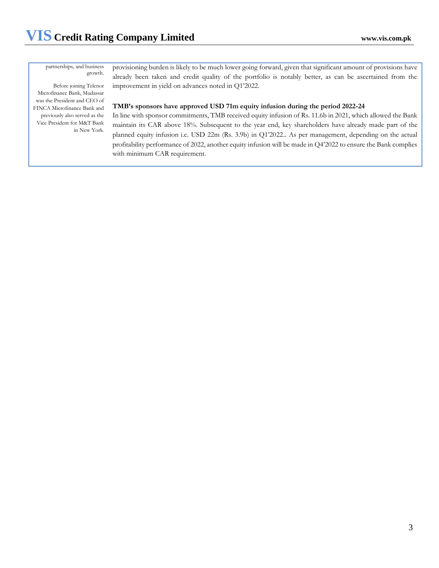partnerships, and business growth.

Before joining Telenor Microfinance Bank, Mudassar was the President and CEO of FINCA Microfinance Bank and previously also served as the Vice President for M&T Bank in New York.

provisioning burden is likely to be much lower going forward, given that significant amount of provisions have already been taken and credit quality of the portfolio is notably better, as can be ascertained from the improvement in yield on advances noted in Q1'2022.

### **TMB's sponsors have approved USD 71m equity infusion during the period 2022-24**

In line with sponsor commitments, TMB received equity infusion of Rs. 11.6b in 2021, which allowed the Bank maintain its CAR above 18%. Subsequent to the year end, key shareholders have already made part of the planned equity infusion i.e. USD 22m (Rs. 3.9b) in Q1'2022.. As per management, depending on the actual profitability performance of 2022, another equity infusion will be made in Q4'2022 to ensure the Bank complies with minimum CAR requirement.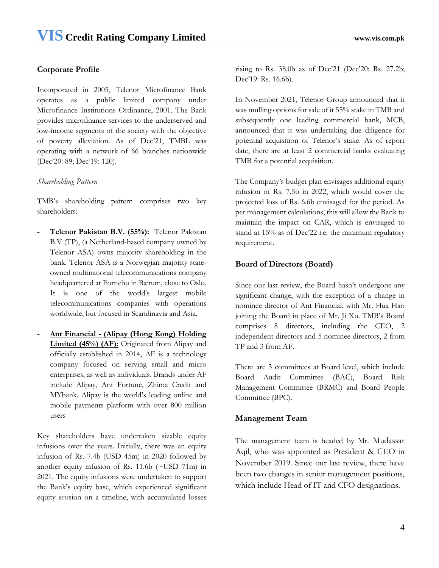# **Corporate Profile**

Incorporated in 2005, Telenor Microfinance Bank operates as a public limited company under Microfinance Institutions Ordinance, 2001. The Bank provides microfinance services to the underserved and low-income segments of the society with the objective of poverty alleviation. As of Dec'21, TMBL was operating with a network of 66 branches nationwide (Dec'20: 89; Dec'19: 120).

## *Shareholding Pattern*

TMB's shareholding pattern comprises two key shareholders:

- **- Telenor Pakistan B.V. (55%):** Telenor Pakistan B.V (TP), (a Netherland-based company owned by Telenor ASA) owns majority shareholding in the bank. Telenor ASA is a Norwegian majority stateowned multinational telecommunications company headquartered at Fornebu in Bærum, close to Oslo. It is one of the world's largest mobile telecommunications companies with operations worldwide, but focused in Scandinavia and Asia.
- **- Ant Financial - (Alipay (Hong Kong) Holding Limited (45%) (AF):** Originated from Alipay and officially established in 2014, AF is a technology company focused on serving small and micro enterprises, as well as individuals. Brands under AF include Alipay, Ant Fortune, Zhima Credit and MYbank. Alipay is the world's leading online and mobile payments platform with over 800 million users

Key shareholders have undertaken sizable equity infusions over the years. Initially, there was an equity infusion of Rs. 7.4b (USD 45m) in 2020 followed by another equity infusion of Rs. 11.6b (~USD 71m) in 2021. The equity infusions were undertaken to support the Bank's equity base, which experienced significant equity erosion on a timeline, with accumulated losses

rising to Rs. 38.0b as of Dec'21 (Dec'20: Rs. 27.2b; Dec'19: Rs. 16.6b).

In November 2021, Telenor Group announced that it was mulling options for sale of it 55% stake in TMB and subsequently one leading commercial bank, MCB, announced that it was undertaking due diligence for potential acquisition of Telenor's stake. As of report date, there are at least 2 commercial banks evaluating TMB for a potential acquisition.

The Company's budget plan envisages additional equity infusion of Rs. 7.5b in 2022, which would cover the projected loss of Rs. 6.6b envisaged for the period. As per management calculations, this will allow the Bank to maintain the impact on CAR, which is envisaged to stand at 15% as of Dec'22 i.e. the minimum regulatory requirement.

## **Board of Directors (Board)**

Since our last review, the Board hasn't undergone any significant change, with the exception of a change in nominee director of Ant Financial, with Mr. Hua Hao joining the Board in place of Mr. Ji Xu. TMB's Board comprises 8 directors, including the CEO, 2 independent directors and 5 nominee directors, 2 from TP and 3 from AF.

There are 3 committees at Board level, which include Board Audit Committee (BAC), Board Risk Management Committee (BRMC) and Board People Committee (BPC).

## **Management Team**

The management team is headed by Mr. Mudassar Aqil, who was appointed as President & CEO in November 2019. Since our last review, there have been two changes in senior management positions, which include Head of IT and CFO designations.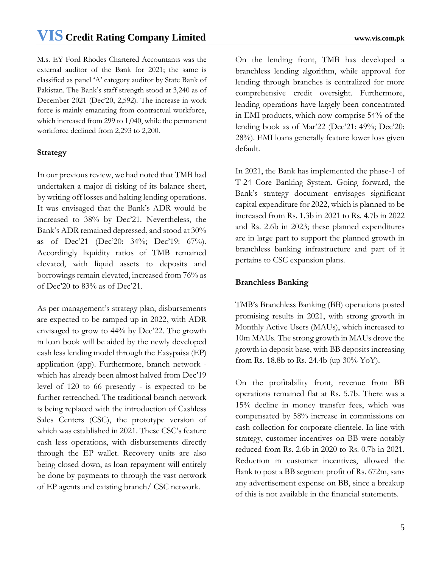M.s. EY Ford Rhodes Chartered Accountants was the external auditor of the Bank for 2021; the same is classified as panel 'A' category auditor by State Bank of Pakistan. The Bank's staff strength stood at 3,240 as of December 2021 (Dec'20, 2,592). The increase in work force is mainly emanating from contractual workforce, which increased from 299 to 1,040, while the permanent workforce declined from 2,293 to 2,200.

# **Strategy**

In our previous review, we had noted that TMB had undertaken a major di-risking of its balance sheet, by writing off losses and halting lending operations. It was envisaged that the Bank's ADR would be increased to 38% by Dec'21. Nevertheless, the Bank's ADR remained depressed, and stood at 30% as of Dec'21 (Dec'20: 34%; Dec'19: 67%). Accordingly liquidity ratios of TMB remained elevated, with liquid assets to deposits and borrowings remain elevated, increased from 76% as of Dec'20 to 83% as of Dec'21.

As per management's strategy plan, disbursements are expected to be ramped up in 2022, with ADR envisaged to grow to 44% by Dec'22. The growth in loan book will be aided by the newly developed cash less lending model through the Easypaisa (EP) application (app). Furthermore, branch network which has already been almost halved from Dec'19 level of 120 to 66 presently - is expected to be further retrenched. The traditional branch network is being replaced with the introduction of Cashless Sales Centers (CSC), the prototype version of which was established in 2021. These CSC's feature cash less operations, with disbursements directly through the EP wallet. Recovery units are also being closed down, as loan repayment will entirely be done by payments to through the vast network of EP agents and existing branch/ CSC network.

On the lending front, TMB has developed a branchless lending algorithm, while approval for lending through branches is centralized for more comprehensive credit oversight. Furthermore, lending operations have largely been concentrated in EMI products, which now comprise 54% of the lending book as of Mar'22 (Dec'21: 49%; Dec'20: 28%). EMI loans generally feature lower loss given default.

In 2021, the Bank has implemented the phase-1 of T-24 Core Banking System. Going forward, the Bank's strategy document envisages significant capital expenditure for 2022, which is planned to be increased from Rs. 1.3b in 2021 to Rs. 4.7b in 2022 and Rs. 2.6b in 2023; these planned expenditures are in large part to support the planned growth in branchless banking infrastructure and part of it pertains to CSC expansion plans.

# **Branchless Banking**

TMB's Branchless Banking (BB) operations posted promising results in 2021, with strong growth in Monthly Active Users (MAUs), which increased to 10m MAUs. The strong growth in MAUs drove the growth in deposit base, with BB deposits increasing from Rs. 18.8b to Rs. 24.4b (up 30% YoY).

On the profitability front, revenue from BB operations remained flat at Rs. 5.7b. There was a 15% decline in money transfer fees, which was compensated by 58% increase in commissions on cash collection for corporate clientele. In line with strategy, customer incentives on BB were notably reduced from Rs. 2.6b in 2020 to Rs. 0.7b in 2021. Reduction in customer incentives, allowed the Bank to post a BB segment profit of Rs. 672m, sans any advertisement expense on BB, since a breakup of this is not available in the financial statements.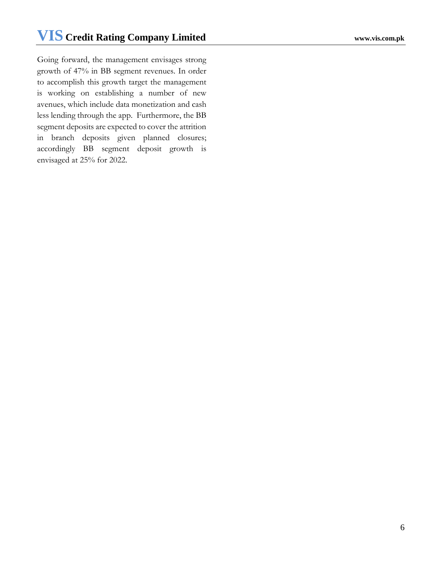Going forward, the management envisages strong growth of 47% in BB segment revenues. In order to accomplish this growth target the management is working on establishing a number of new avenues, which include data monetization and cash less lending through the app. Furthermore, the BB segment deposits are expected to cover the attrition in branch deposits given planned closures; accordingly BB segment deposit growth is envisaged at 25% for 2022.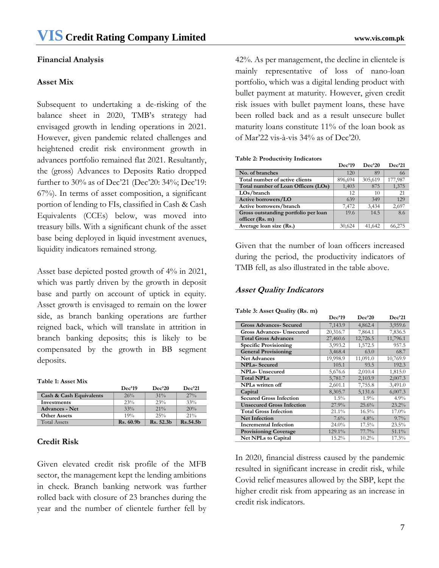# **Financial Analysis**

# **Asset Mix**

Subsequent to undertaking a de-risking of the balance sheet in 2020, TMB's strategy had envisaged growth in lending operations in 2021. However, given pandemic related challenges and heightened credit risk environment growth in advances portfolio remained flat 2021. Resultantly, the (gross) Advances to Deposits Ratio dropped further to 30% as of Dec'21 (Dec'20: 34%; Dec'19: 67%). In terms of asset composition, a significant portion of lending to FIs, classified in Cash & Cash Equivalents (CCEs) below, was moved into treasury bills. With a significant chunk of the asset base being deployed in liquid investment avenues, liquidity indicators remained strong.

Asset base depicted posted growth of 4% in 2021, which was partly driven by the growth in deposit base and partly on account of uptick in equity. Asset growth is envisaged to remain on the lower side, as branch banking operations are further reigned back, which will translate in attrition in branch banking deposits; this is likely to be compensated by the growth in BB segment deposits.

|  |  | <b>Table 1: Asset Mix</b> |  |
|--|--|---------------------------|--|
|--|--|---------------------------|--|

|                         | Dec'19    | Dec20     | Dec21    |
|-------------------------|-----------|-----------|----------|
| Cash & Cash Equivalents | 26%       | $31\%$    | $27\%$   |
| Investments             | 23%       | 23%       | 33%      |
| <b>Advances - Net</b>   | 33%       | $21\%$    | 20%      |
| <b>Other Assets</b>     | 19%       | 25%       | $21\%$   |
| <b>Total Assets</b>     | Rs. 60.9b | Rs. 52.3h | Rs.54.5h |

# **Credit Risk**

Given elevated credit risk profile of the MFB sector, the management kept the lending ambitions in check. Branch banking network was further rolled back with closure of 23 branches during the year and the number of clientele further fell by

42%. As per management, the decline in clientele is mainly representative of loss of nano-loan portfolio, which was a digital lending product with bullet payment at maturity. However, given credit risk issues with bullet payment loans, these have been rolled back and as a result unsecure bullet maturity loans constitute 11% of the loan book as of Mar'22 vis-à-vis 34% as of Dec'20.

#### **Table 2: Productivity Indicators**

|                                      | Dec'19  | Dec20   | <b>Dec'21</b> |
|--------------------------------------|---------|---------|---------------|
| No. of branches                      | 120     | 89      | 66            |
| Total number of active clients       | 896,694 | 305,619 | 177,987       |
| Total number of Loan Officers (LOs)  | 1,403   | 875     | 1,375         |
| LOs/branch                           | 12      | 10      | 21            |
| Active borrowers/LO                  | 639     | 349     | 129           |
| Active borrowers/branch              | 7.472   | 3.434   | 2,697         |
| Gross outstanding portfolio per loan | 19.6    | 14.5    | 8.6           |
| officer (Rs. m)                      |         |         |               |
| Average loan size (Rs.)              | 30,624  | 41.642  | 66,275        |

Given that the number of loan officers increased during the period, the productivity indicators of TMB fell, as also illustrated in the table above.

# **Asset Quality Indicators**

|                                  | Dec'19   | Dec'20   | Dec'21   |
|----------------------------------|----------|----------|----------|
| <b>Gross Advances- Secured</b>   | 7,143.9  | 4,862.4  | 3,959.6  |
| <b>Gross Advances- Unsecured</b> | 20,316.7 | 7,864.1  | 7,836.5  |
| <b>Total Gross Advances</b>      | 27,460.6 | 12,726.5 | 11,796.1 |
| <b>Specific Provisioning</b>     | 3,993.2  | 1,572.5  | 957.5    |
| <b>General Provisioning</b>      | 3,468.4  | 63.0     | 68.7     |
| Net Advances                     | 19,998.9 | 11,091.0 | 10,769.9 |
| <b>NPLs-Secured</b>              | 105.1    | 93.5     | 192.3    |
| <b>NPLs-</b> Unsecured           | 5,676.6  | 2,010.4  | 1,815.0  |
| <b>Total NPLs</b>                | 5,781.7  | 2,103.9  | 2,007.3  |
| <b>NPLs</b> written off          | 2,601.1  | 7,755.8  | 3,491.0  |
| Capital                          | 8,305.7  | 5,131.6  | 6,007.3  |
| <b>Secured Gross Infection</b>   | $1.5\%$  | 1.9%     | 4.9%     |
| <b>Unsecured Gross Infection</b> | 27.9%    | 25.6%    | 23.2%    |
| <b>Total Gross Infection</b>     | 21.1%    | 16.5%    | 17.0%    |
| <b>Net Infection</b>             | 7.6%     | 4.8%     | $9.7\%$  |
| <b>Incremental Infection</b>     | 24.0%    | 17.5%    | 23.5%    |
| <b>Provisioning Coverage</b>     | 129.1%   | 77.7%    | 51.1%    |
| <b>Net NPLs to Capital</b>       | 15.2%    | 10.2%    | 17.3%    |

In 2020, financial distress caused by the pandemic resulted in significant increase in credit risk, while Covid relief measures allowed by the SBP, kept the higher credit risk from appearing as an increase in credit risk indicators.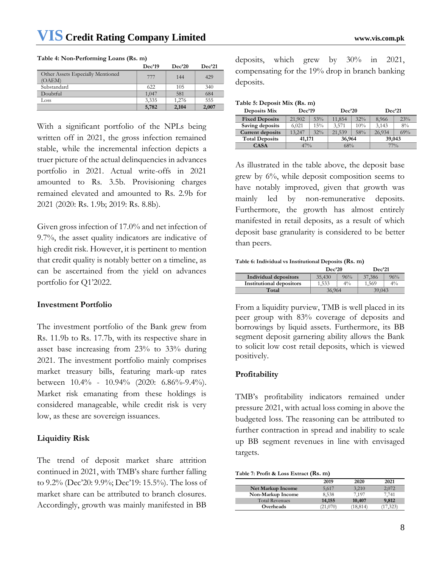**Table 4: Non-Performing Loans (Rs. m)**

With a significant portfolio of the NPLs being written off in 2021, the gross infection remained stable, while the incremental infection depicts a truer picture of the actual delinquencies in advances portfolio in 2021. Actual write-offs in 2021 amounted to Rs. 3.5b. Provisioning charges remained elevated and amounted to Rs. 2.9b for 2021 (2020: Rs. 1.9b; 2019: Rs. 8.8b).

Given gross infection of 17.0% and net infection of 9.7%, the asset quality indicators are indicative of high credit risk. However, it is pertinent to mention that credit quality is notably better on a timeline, as can be ascertained from the yield on advances portfolio for Q1'2022.

# **Investment Portfolio**

The investment portfolio of the Bank grew from Rs. 11.9b to Rs. 17.7b, with its respective share in asset base increasing from 23% to 33% during 2021. The investment portfolio mainly comprises market treasury bills, featuring mark-up rates between 10.4% - 10.94% (2020: 6.86%-9.4%). Market risk emanating from these holdings is considered manageable, while credit risk is very low, as these are sovereign issuances.

# **Liquidity Risk**

The trend of deposit market share attrition continued in 2021, with TMB's share further falling to 9.2% (Dec'20: 9.9%; Dec'19: 15.5%). The loss of market share can be attributed to branch closures. Accordingly, growth was mainly manifested in BB

deposits, which grew by 30% in 2021, compensating for the 19% drop in branch banking deposits.

| Table 5: Deposit Mix (Rs. m) |        |     |        |     |        |     |  |
|------------------------------|--------|-----|--------|-----|--------|-----|--|
| Deposits Mix                 | Dec'19 |     | Dec20  |     | Dec'21 |     |  |
| <b>Fixed Deposits</b>        | 21,902 | 53% | 11,854 | 32% | 8.966  | 23% |  |
| Saving deposits              | 6.021  | 15% | 3.571  | 10% | 3.143  | 8%  |  |
| <b>Current deposits</b>      | 13.247 | 32% | 21,539 | 58% | 26.934 | 69% |  |
| <b>Total Deposits</b>        | 41,171 |     | 36,964 |     | 39,043 |     |  |

**CASA**  $\begin{array}{|c|c|c|c|c|} \hline \textbf{47\%} & \textbf{68\%} & \textbf{77\%} \ \hline \end{array}$ 

As illustrated in the table above, the deposit base grew by 6%, while deposit composition seems to have notably improved, given that growth was mainly led by non-remunerative deposits. Furthermore, the growth has almost entirely manifested in retail deposits, as a result of which deposit base granularity is considered to be better than peers.

**Table 6: Individual vs Institutional Deposits (Rs. m)**

|                                 | Dec20  |       | Dec'21 |       |
|---------------------------------|--------|-------|--------|-------|
| Individual depositors           | 35,430 | 96%   | 37,386 | 96%   |
| <b>Institutional depositors</b> | 1.533  | $4\%$ | 1.569  | $4\%$ |
| Total                           | 36,964 |       | 39,043 |       |

From a liquidity purview, TMB is well placed in its peer group with 83% coverage of deposits and borrowings by liquid assets. Furthermore, its BB segment deposit garnering ability allows the Bank to solicit low cost retail deposits, which is viewed positively.

# **Profitability**

TMB's profitability indicators remained under pressure 2021, with actual loss coming in above the budgeted loss. The reasoning can be attributed to further contraction in spread and inability to scale up BB segment revenues in line with envisaged targets.

| Table 7: Profit & Loss Extract (Rs. m) |  |  |
|----------------------------------------|--|--|
|----------------------------------------|--|--|

|                       | 2019     | 2020      | 2021    |
|-----------------------|----------|-----------|---------|
| Net Markup Income     | 5.617    | 3.210     | 2.072   |
| Non-Markup Income     | 8.538    | 7.197     | 7.741   |
| <b>Total Revenues</b> | 14,155   | 10,407    | 9.812   |
| Overheads             | (21,070) | (18, 814) | 17,323) |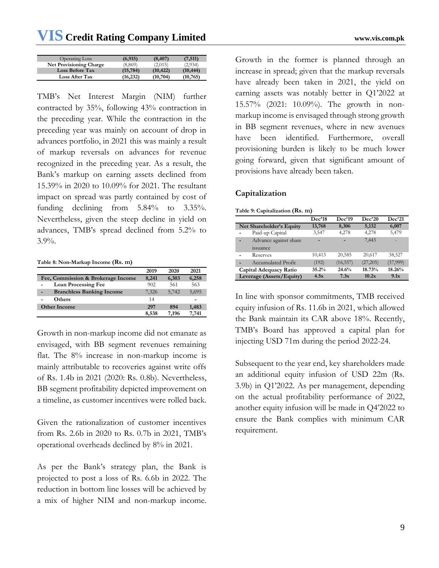| <b>Operating Loss</b>          | (6, 915)  | (8, 407)  | (7, 511)  |
|--------------------------------|-----------|-----------|-----------|
| <b>Net Provisioning Charge</b> | (8,869)   | (2,015)   | (2,934)   |
| <b>Loss Before Tax</b>         | (15, 784) | (10, 422) | (10, 444) |
| <b>Loss After Tax</b>          | (16,232)  | (10,704)  | (10,765)  |

TMB's Net Interest Margin (NIM) further contracted by 35%, following 43% contraction in the preceding year. While the contraction in the preceding year was mainly on account of drop in advances portfolio, in 2021 this was mainly a result of markup reversals on advances for revenue recognized in the preceding year. As a result, the Bank's markup on earning assets declined from 15.39% in 2020 to 10.09% for 2021. The resultant impact on spread was partly contained by cost of funding declining from 5.84% to 3.35%. Nevertheless, given the steep decline in yield on advances, TMB's spread declined from 5.2% to 3.9%.

#### **Table 8: Non-Markup Income (Rs. m)**

|                                       | 2019  | 2020  | 2021  |
|---------------------------------------|-------|-------|-------|
| Fee, Commission & Brokerage Income    | 8,241 | 6,303 | 6,258 |
| <b>Loan Processing Fee</b><br>۰       | 902   | 561   | 563   |
| <b>Branchless Banking Income</b><br>۰ | 7,326 | 5,742 | 5,695 |
| <b>Others</b>                         | 14    |       |       |
| <b>Other Income</b>                   | 297   | 894   | 1,483 |
|                                       | 8,538 | 7.196 | 7.741 |

Growth in non-markup income did not emanate as envisaged, with BB segment revenues remaining flat. The 8% increase in non-markup income is mainly attributable to recoveries against write offs of Rs. 1.4b in 2021 (2020: Rs. 0.8b). Nevertheless, BB segment profitability depicted improvement on a timeline, as customer incentives were rolled back.

Given the rationalization of customer incentives from Rs. 2.6b in 2020 to Rs. 0.7b in 2021, TMB's operational overheads declined by 8% in 2021.

As per the Bank's strategy plan, the Bank is projected to post a loss of Rs. 6.6b in 2022. The reduction in bottom line losses will be achieved by a mix of higher NIM and non-markup income.

Growth in the former is planned through an increase in spread; given that the markup reversals have already been taken in 2021, the yield on earning assets was notably better in Q1'2022 at 15.57% (2021: 10.09%). The growth in nonmarkup income is envisaged through strong growth in BB segment revenues, where in new avenues have been identified. Furthermore, overall provisioning burden is likely to be much lower going forward, given that significant amount of provisions have already been taken.

# **Capitalization**

|  | Table 9: Capitalization (Rs. m) |  |  |
|--|---------------------------------|--|--|
|--|---------------------------------|--|--|

|                            | Dec'18 | Dec'19    | Dec20    | Dec21    |
|----------------------------|--------|-----------|----------|----------|
| Net Shareholder's Equity   | 13,768 | 8,306     | 5,132    | 6,007    |
| Paid-up Capital            | 3,547  | 4,278     | 4,278    | 5,479    |
| Advance against share<br>٠ |        |           | 7,443    |          |
| <i>ssuance</i>             |        |           |          |          |
| Reserves                   | 10,413 | 20,585    | 20,617   | 38,527   |
| Accumulated Profit         | (192)  | (16, 557) | (27,205) | (37,999) |
| Capital Adequacy Ratio     | 35.2%  | 24.6%     | 18.73%   | 18.26%   |
| Leverage (Assets/Equity)   | 4.5x   | 7.3x      | 10.2x    | 9.1x     |

In line with sponsor commitments, TMB received equity infusion of Rs. 11.6b in 2021, which allowed the Bank maintain its CAR above 18%. Recently, TMB's Board has approved a capital plan for injecting USD 71m during the period 2022-24.

Subsequent to the year end, key shareholders made an additional equity infusion of USD 22m (Rs. 3.9b) in Q1'2022. As per management, depending on the actual profitability performance of 2022, another equity infusion will be made in Q4'2022 to ensure the Bank complies with minimum CAR requirement.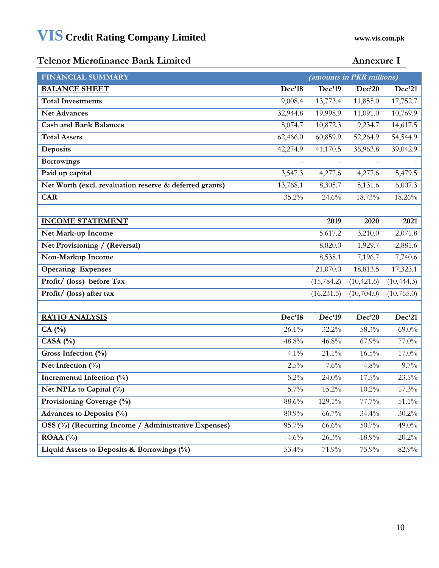# **Telenor Microfinance Bank Limited Annexure I**

| <b>FINANCIAL SUMMARY</b>                                |          | (amounts in PKR millions) |             |             |
|---------------------------------------------------------|----------|---------------------------|-------------|-------------|
| <b>BALANCE SHEET</b>                                    | Dec'18   | Dec'19                    | Dec'20      | Dec'21      |
| <b>Total Investments</b>                                | 9,008.4  | 13,773.4                  | 11,855.0    | 17,752.7    |
| <b>Net Advances</b>                                     | 32,944.8 | 19,998.9                  | 11,091.0    | 10,769.9    |
| <b>Cash and Bank Balances</b>                           | 8,074.7  | 10,872.3                  | 9,234.7     | 14,617.5    |
| <b>Total Assets</b>                                     | 62,466.0 | 60,859.9                  | 52,264.9    | 54,544.9    |
| Deposits                                                | 42,274.9 | 41,170.5                  | 36,963.8    | 39,042.9    |
| <b>Borrowings</b>                                       |          | $\overline{\phantom{m}}$  |             |             |
| Paid up capital                                         | 3,547.3  | 4,277.6                   | 4,277.6     | 5,479.5     |
| Net Worth (excl. revaluation reserve & deferred grants) | 13,768.1 | 8,305.7                   | 5,131.6     | 6,007.3     |
| <b>CAR</b>                                              | 35.2%    | 24.6%                     | 18.73%      | 18.26%      |
|                                                         |          |                           |             |             |
| <b>INCOME STATEMENT</b>                                 |          | 2019                      | 2020        | 2021        |
| Net Mark-up Income                                      |          | 5.617.2                   | 3,210.0     | 2,071.8     |
| Net Provisioning / (Reversal)                           |          | 8,820.0                   | 1,929.7     | 2,881.6     |
| Non-Markup Income                                       |          | 8,538.1                   | 7,196.7     | 7,740.6     |
| <b>Operating Expenses</b>                               |          | 21,070.0                  | 18,813.5    | 17,323.1    |
| Profit/ (loss) before Tax                               |          | (15, 784.2)               | (10, 421.6) | (10, 444.3) |
| Profit/ (loss) after tax                                |          | (16, 231.5)               | (10,704.0)  | (10,765.0)  |
|                                                         |          |                           |             |             |
| <b>RATIO ANALYSIS</b>                                   | Dec'18   | Dec'19                    | Dec'20      | Dec'21      |
| $CA(^{0}_{0})$                                          | 26.1%    | 32.2%                     | 58.3%       | $69.0\%$    |
| CASA $(%)$                                              | 48.8%    | 46.8%                     | 67.9%       | 77.0%       |
| Gross Infection (%)                                     | 4.1%     | $21.1\%$                  | $16.5\%$    | 17.0%       |
| Net Infection $(\%)$                                    | 2.5%     | 7.6%                      | 4.8%        | 9.7%        |
| Incremental Infection (%)                               | 5.2%     | 24.0%                     | 17.5%       | 23.5%       |
| Net NPLs to Capital (%)                                 | $5.7\%$  | 15.2%                     | $10.2\%$    | 17.3%       |
| Provisioning Coverage (%)                               | 88.6%    | 129.1%                    | 77.7%       | 51.1%       |
| Advances to Deposits (%)                                | 80.9%    | 66.7%                     | 34.4%       | $30.2\%$    |
| OSS (%) (Recurring Income / Administrative Expenses)    | 95.7%    | 66.6%                     | 50.7%       | 49.0%       |
| ROAA $(%)$                                              | $-4.6%$  | $-26.3%$                  | $-18.9%$    | $-20.2\%$   |
| Liquid Assets to Deposits & Borrowings (%)              | 53.4%    | 71.9%                     | 75.9%       | 82.9%       |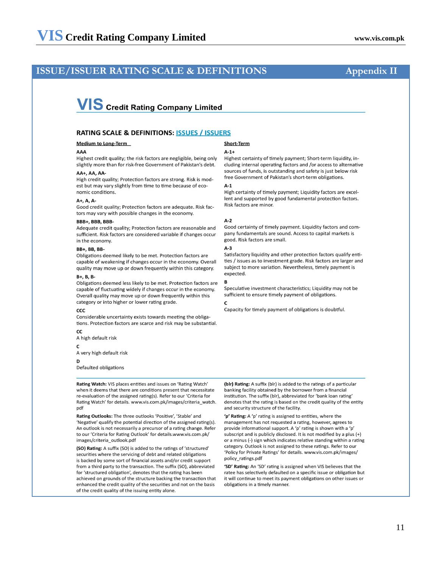# **ISSUE/ISSUER RATING SCALE & DEFINITIONS Appendix II**

# **VIS** Credit Rating Company Limited

#### **RATING SCALE & DEFINITIONS: ISSUES / ISSUERS**

**Medium to Long-Term** 

#### AAA

Highest credit quality; the risk factors are negligible, being only slightly more than for risk-free Government of Pakistan's debt. AA+, AA, AA-

High credit quality; Protection factors are strong. Risk is modest but may vary slightly from time to time because of economic conditions

#### $A+$ ,  $A$ ,  $A-$

Good credit quality: Protection factors are adequate. Risk factors may vary with possible changes in the economy.

#### BBB+, BBB, BBB-

Adequate credit quality; Protection factors are reasonable and sufficient. Risk factors are considered variable if changes occur in the economy.

#### **BB+, BB, BB-**

Obligations deemed likely to be met. Protection factors are capable of weakening if changes occur in the economy. Overall quality may move up or down frequently within this category.

#### B+, B, B-

Obligations deemed less likely to be met. Protection factors are capable of fluctuating widely if changes occur in the economy. Overall quality may move up or down frequently within this category or into higher or lower rating grade.

#### CCC

Considerable uncertainty exists towards meeting the obligations. Protection factors are scarce and risk may be substantial.

**CC** A high default risk

 $\mathsf{C}$ 

A very high default risk

#### D

Defaulted obligations

Rating Watch: VIS places entities and issues on 'Rating Watch' when it deems that there are conditions present that necessitate re-evaluation of the assigned rating(s). Refer to our 'Criteria for Rating Watch' for details. www.vis.com.pk/images/criteria\_watch. pdf

Rating Outlooks: The three outlooks 'Positive', 'Stable' and 'Negative' qualify the potential direction of the assigned rating(s). An outlook is not necessarily a precursor of a rating change. Refer to our 'Criteria for Rating Outlook' for details.www.vis.com.pk/ images/criteria\_outlook.pdf

(SO) Rating: A suffix (SO) is added to the ratings of 'structured' securities where the servicing of debt and related obligations is backed by some sort of financial assets and/or credit support from a third party to the transaction. The suffix (SO), abbreviated for 'structured obligation', denotes that the rating has been achieved on grounds of the structure backing the transaction that enhanced the credit quality of the securities and not on the basis of the credit quality of the issuing entity alone.

# **Short-Term**

#### $A-1+$

Highest certainty of timely payment; Short-term liquidity, including internal operating factors and /or access to alternative sources of funds, is outstanding and safety is just below risk free Government of Pakistan's short-term obligations.

#### $A-1$

High certainty of timely payment; Liquidity factors are excellent and supported by good fundamental protection factors. Risk factors are minor.

#### $A-2$

Good certainty of timely payment. Liquidity factors and company fundamentals are sound. Access to capital markets is good. Risk factors are small.

#### $A-3$

Satisfactory liquidity and other protection factors qualify entities / issues as to investment grade. Risk factors are larger and subject to more variation. Nevertheless, timely payment is expected.

#### B

Speculative investment characteristics: Liquidity may not be sufficient to ensure timely payment of obligations.

Capacity for timely payment of obligations is doubtful.

(blr) Rating: A suffix (blr) is added to the ratings of a particular banking facility obtained by the borrower from a financial institution. The suffix (blr), abbreviated for 'bank loan rating' denotes that the rating is based on the credit quality of the entity and security structure of the facility.

'p' Rating: A 'p' rating is assigned to entities, where the management has not requested a rating, however, agrees to provide informational support. A 'p' rating is shown with a 'p subscript and is publicly disclosed. It is not modified by a plus (+) or a minus (-) sign which indicates relative standing within a rating category. Outlook is not assigned to these ratings. Refer to our 'Policy for Private Ratings' for details. www.vis.com.pk/images/ policy\_ratings.pdf

'SD' Rating: An 'SD' rating is assigned when VIS believes that the ratee has selectively defaulted on a specific issue or obligation but it will continue to meet its payment obligations on other issues or obligations in a timely manner.